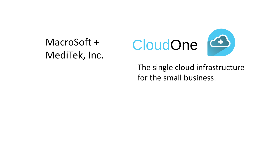# MacroSoft + MediTek, Inc.





The single cloud infrastructure for the small business.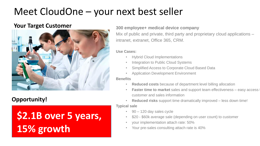# Meet CloudOne – your next best seller

### **Your Target Customer**



### **Opportunity!**

# **\$2.1B over 5 years, 15% growth**

### **300 employee+ medical device company**

Mix of public and private, third party and proprietary cloud applications – intranet, extranet, Office 365, CRM.

### **Use Cases:**

- Hybrid Cloud Implementations
- Integration to Public Cloud Systems
- Simplified Access to Corporate Cloud Based Data
- Application Development Environment

#### **Benefits**

- **Reduced costs** because of department level billing allocation
- **Faster time to market** sales and support team effectiveness easy access customer and sales information
- **Reduced risks** support time dramatically improved less down time!

### **Typical sale**

- 90 120 day sales cycle
- \$20 \$60k average sale (depending on user count) to customer
- your implementation attach rate: 50%
- Your pre-sales consulting attach rate is 40%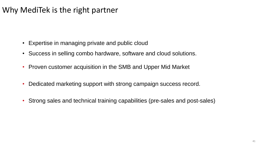## Why MediTek is the right partner

- Expertise in managing private and public cloud
- Success in selling combo hardware, software and cloud solutions.
- Proven customer acquisition in the SMB and Upper Mid Market
- Dedicated marketing support with strong campaign success record.
- Strong sales and technical training capabilities (pre-sales and post-sales)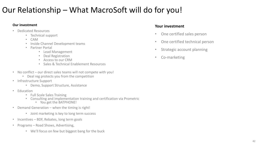## Our Relationship – What MacroSoft will do for you!

#### **Our investment**

- Dedicated Resources
	- Technical support
	- CAM
	- Inside Channel Development teams
	- Partner Portal
		- Lead Management
		- Deal Registration
		- Access to our CRM
		- Sales & Technical Enablement Resources
- No conflict our direct sales teams will not compete with you!
	- Deal reg protects you from the competition
- Infrastructure Support
	- Demo, Support Structure, Assistance
- Education
	- Full Scale Sales Training
	- Consulting and implementation training and certification via Prometric
		- You get the BATPHONE!
- Demand Generation when the timing is right!
	- Joint marketing is key to long term success
- Incentives BDF, Rebates, long term goals
- Programs Road Shows, Advertising,
	- We'll focus on few but biggest bang for the buck

### **Your investment**

- One certified sales person
- One certified technical person
- Strategic account planning
- Co-marketing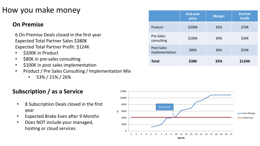## How you make money

### **On Premise**

6 On Premise Deals closed in the first year Expected Total Partner Sales \$380K Expected Total Partner Profit: \$124K

- \$200K in Product
- \$80K in pre-sales consulting
- \$100K in post sales implementation
- Product / Pre Sales Consulting / Implementation Mix
	- $\cdot$  53% / 21% / 26%

## **Subscription / as a Service**

- 8 Subscription Deals closed in the first year
- Expected Brake Even after 9 Months
- Does NOT include your managed, hosting or cloud services